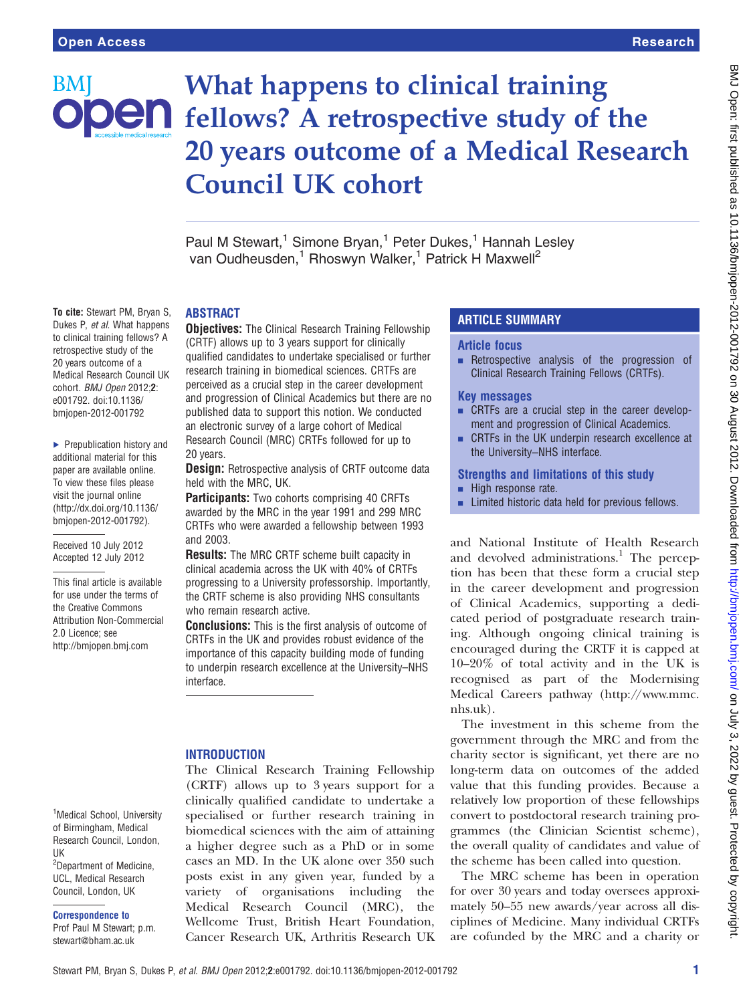BM

# What happens to clinical training  $\mathbf{P}\mathbf{F}$  fellows? A retrospective study of the 20 years outcome of a Medical Research Council UK cohort

Paul M Stewart,<sup>1</sup> Simone Bryan,<sup>1</sup> Peter Dukes,<sup>1</sup> Hannah Lesley van Oudheusden,<sup>1</sup> Rhoswyn Walker,<sup>1</sup> Patrick H Maxwell<sup>2</sup>

## ABSTRACT

To cite: Stewart PM, Bryan S, Dukes P, et al. What happens to clinical training fellows? A retrospective study of the 20 years outcome of a Medical Research Council UK cohort. BMJ Open 2012:2: e001792. doi:10.1136/ bmjopen-2012-001792

▶ Prepublication history and additional material for this paper are available online. To view these files please visit the journal online [\(http://dx.doi.org/10.1136/](http://dx.doi.org/10.1136/bmjopen-2012-001792) [bmjopen-2012-001792](http://dx.doi.org/10.1136/bmjopen-2012-001792)).

Received 10 July 2012 Accepted 12 July 2012

This final article is available for use under the terms of the Creative Commons Attribution Non-Commercial 2.0 Licence; see <http://bmjopen.bmj.com>

**Objectives:** The Clinical Research Training Fellowship (CRTF) allows up to 3 years support for clinically qualified candidates to undertake specialised or further research training in biomedical sciences. CRTFs are perceived as a crucial step in the career development and progression of Clinical Academics but there are no published data to support this notion. We conducted an electronic survey of a large cohort of Medical Research Council (MRC) CRTFs followed for up to 20 years.

**Design:** Retrospective analysis of CRTF outcome data held with the MRC, UK.

**Participants:** Two cohorts comprising 40 CRFTs awarded by the MRC in the year 1991 and 299 MRC CRTFs who were awarded a fellowship between 1993 and 2003.

Results: The MRC CRTF scheme built capacity in clinical academia across the UK with 40% of CRTFs progressing to a University professorship. Importantly, the CRTF scheme is also providing NHS consultants who remain research active.

Conclusions: This is the first analysis of outcome of CRTFs in the UK and provides robust evidence of the importance of this capacity building mode of funding to underpin research excellence at the University–NHS interface.

## **INTRODUCTION**

The Clinical Research Training Fellowship (CRTF) allows up to 3 years support for a clinically qualified candidate to undertake a specialised or further research training in biomedical sciences with the aim of attaining a higher degree such as a PhD or in some cases an MD. In the UK alone over 350 such posts exist in any given year, funded by a variety of organisations including the Medical Research Council (MRC), the Wellcome Trust, British Heart Foundation, Cancer Research UK, Arthritis Research UK

# ARTICLE SUMMARY

# Article focus

 $\blacksquare$  Retrospective analysis of the progression of Clinical Research Training Fellows (CRTFs).

## Key messages

- CRTFs are a crucial step in the career development and progression of Clinical Academics.
- CRTFs in the UK underpin research excellence at the University–NHS interface.

#### Strengths and limitations of this study

- $\blacksquare$  High response rate.
- **EXECUTE:** Limited historic data held for previous fellows.

and National Institute of Health Research and devolved administrations.<sup>1</sup> The perception has been that these form a crucial step in the career development and progression of Clinical Academics, supporting a dedicated period of postgraduate research training. Although ongoing clinical training is encouraged during the CRTF it is capped at 10–20% of total activity and in the UK is recognised as part of the Modernising Medical Careers pathway [\(http://www.mmc.](http://www.mmc.nhs.uk) [nhs.uk](http://www.mmc.nhs.uk)).

The investment in this scheme from the government through the MRC and from the charity sector is significant, yet there are no long-term data on outcomes of the added value that this funding provides. Because a relatively low proportion of these fellowships convert to postdoctoral research training programmes (the Clinician Scientist scheme), the overall quality of candidates and value of the scheme has been called into question.

The MRC scheme has been in operation for over 30 years and today oversees approximately 50–55 new awards/year across all disciplines of Medicine. Many individual CRTFs are cofunded by the MRC and a charity or

<sup>1</sup>Medical School, University of Birmingham, Medical Research Council, London, UK <sup>2</sup>Department of Medicine, UCL, Medical Research Council, London, UK

Correspondence to

Prof Paul M Stewart; p.m. stewart@bham.ac.uk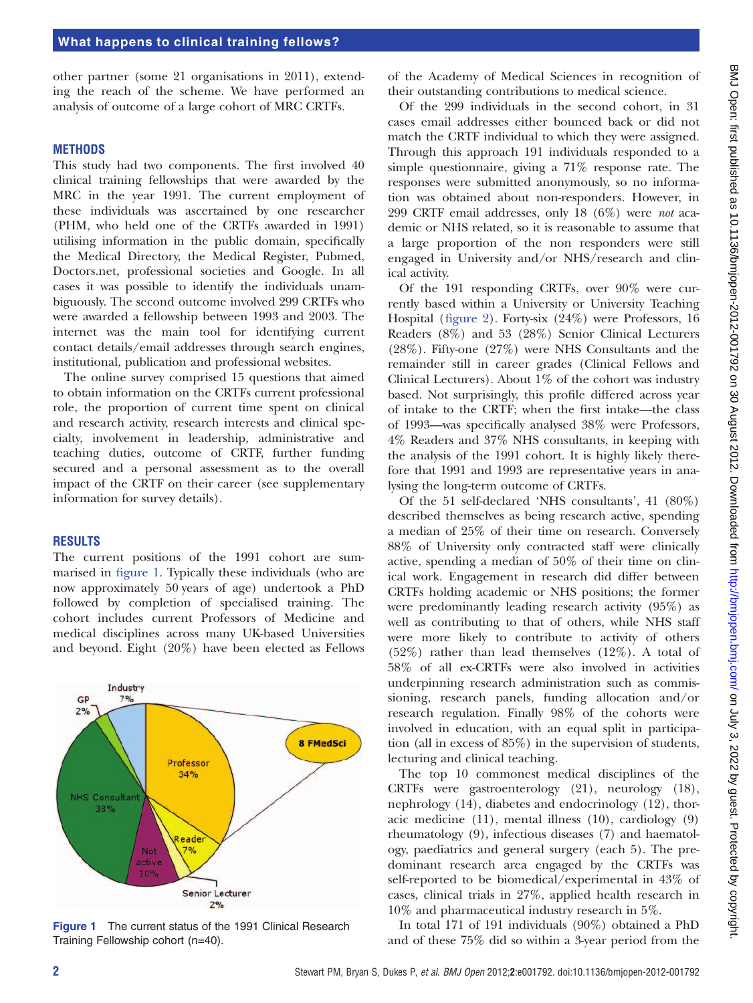other partner (some 21 organisations in 2011), extending the reach of the scheme. We have performed an analysis of outcome of a large cohort of MRC CRTFs.

#### **METHODS**

This study had two components. The first involved 40 clinical training fellowships that were awarded by the MRC in the year 1991. The current employment of these individuals was ascertained by one researcher (PHM, who held one of the CRTFs awarded in 1991) utilising information in the public domain, specifically the Medical Directory, the Medical Register, Pubmed, Doctors.net, professional societies and Google. In all cases it was possible to identify the individuals unambiguously. The second outcome involved 299 CRTFs who were awarded a fellowship between 1993 and 2003. The internet was the main tool for identifying current contact details/email addresses through search engines, institutional, publication and professional websites.

The online survey comprised 15 questions that aimed to obtain information on the CRTFs current professional role, the proportion of current time spent on clinical and research activity, research interests and clinical specialty, involvement in leadership, administrative and teaching duties, outcome of CRTF, further funding secured and a personal assessment as to the overall impact of the CRTF on their career (see [supplementary](http://.oxfordjournals.org/lookup/suppl/doi:10.1093//bmjopen-2012-001792/-/DC1) [information for survey details](http://.oxfordjournals.org/lookup/suppl/doi:10.1093//bmjopen-2012-001792/-/DC1)).

#### RESULTS

The current positions of the 1991 cohort are summarised in figure 1. Typically these individuals (who are now approximately 50 years of age) undertook a PhD followed by completion of specialised training. The cohort includes current Professors of Medicine and medical disciplines across many UK-based Universities and beyond. Eight (20%) have been elected as Fellows



Figure 1 The current status of the 1991 Clinical Research Training Fellowship cohort (n=40).

of the Academy of Medical Sciences in recognition of their outstanding contributions to medical science.

Of the 299 individuals in the second cohort, in 31 cases email addresses either bounced back or did not match the CRTF individual to which they were assigned. Through this approach 191 individuals responded to a simple questionnaire, giving a 71% response rate. The responses were submitted anonymously, so no information was obtained about non-responders. However, in 299 CRTF email addresses, only 18 (6%) were not academic or NHS related, so it is reasonable to assume that a large proportion of the non responders were still engaged in University and/or NHS/research and clinical activity.

Of the 191 responding CRTFs, over 90% were currently based within a University or University Teaching Hospital (figure 2). Forty-six (24%) were Professors, 16 Readers (8%) and 53 (28%) Senior Clinical Lecturers (28%). Fifty-one (27%) were NHS Consultants and the remainder still in career grades (Clinical Fellows and Clinical Lecturers). About 1% of the cohort was industry based. Not surprisingly, this profile differed across year of intake to the CRTF; when the first intake—the class of 1993—was specifically analysed 38% were Professors, 4% Readers and 37% NHS consultants, in keeping with the analysis of the 1991 cohort. It is highly likely therefore that 1991 and 1993 are representative years in analysing the long-term outcome of CRTFs.

Of the 51 self-declared 'NHS consultants', 41 (80%) described themselves as being research active, spending a median of 25% of their time on research. Conversely 88% of University only contracted staff were clinically active, spending a median of 50% of their time on clinical work. Engagement in research did differ between CRTFs holding academic or NHS positions; the former were predominantly leading research activity (95%) as well as contributing to that of others, while NHS staff were more likely to contribute to activity of others (52%) rather than lead themselves (12%). A total of 58% of all ex-CRTFs were also involved in activities underpinning research administration such as commissioning, research panels, funding allocation and/or research regulation. Finally 98% of the cohorts were involved in education, with an equal split in participation (all in excess of 85%) in the supervision of students, lecturing and clinical teaching.

The top 10 commonest medical disciplines of the CRTFs were gastroenterology (21), neurology (18), nephrology (14), diabetes and endocrinology (12), thoracic medicine (11), mental illness (10), cardiology (9) rheumatology (9), infectious diseases (7) and haematology, paediatrics and general surgery (each 5). The predominant research area engaged by the CRTFs was self-reported to be biomedical/experimental in 43% of cases, clinical trials in 27%, applied health research in 10% and pharmaceutical industry research in 5%.

In total 171 of 191 individuals (90%) obtained a PhD and of these 75% did so within a 3-year period from the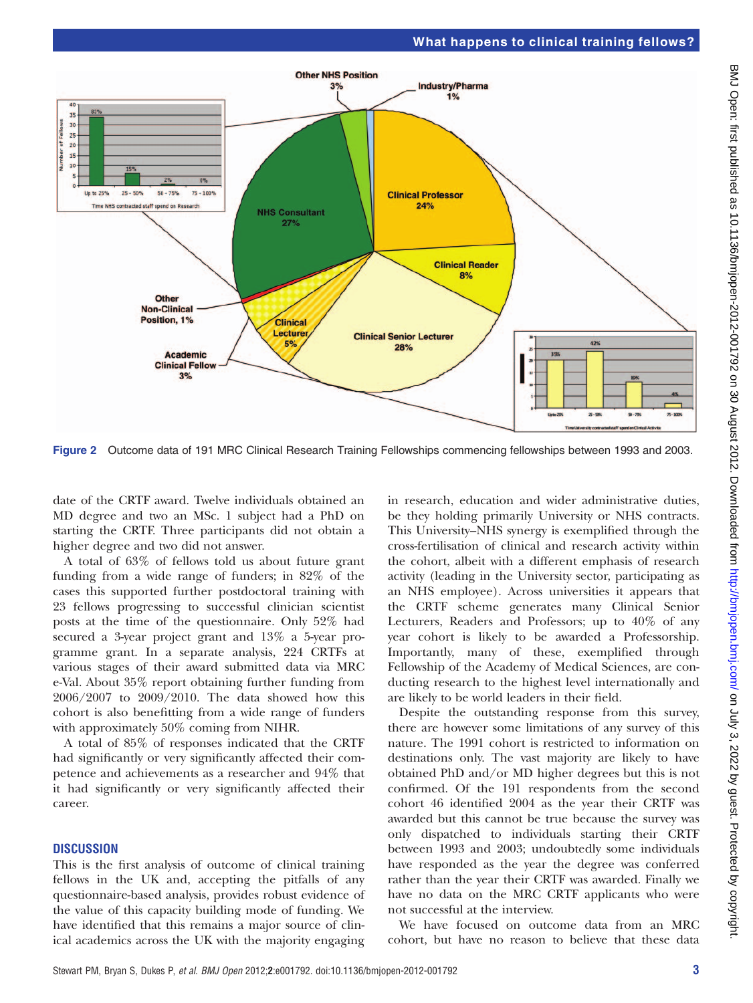# What happens to clinical training fellows?



Figure 2 Outcome data of 191 MRC Clinical Research Training Fellowships commencing fellowships between 1993 and 2003.

date of the CRTF award. Twelve individuals obtained an MD degree and two an MSc. 1 subject had a PhD on starting the CRTF. Three participants did not obtain a higher degree and two did not answer.

A total of 63% of fellows told us about future grant funding from a wide range of funders; in 82% of the cases this supported further postdoctoral training with 23 fellows progressing to successful clinician scientist posts at the time of the questionnaire. Only 52% had secured a 3-year project grant and 13% a 5-year programme grant. In a separate analysis, 224 CRTFs at various stages of their award submitted data via MRC e-Val. About 35% report obtaining further funding from 2006/2007 to 2009/2010. The data showed how this cohort is also benefitting from a wide range of funders with approximately 50% coming from NIHR.

A total of 85% of responses indicated that the CRTF had significantly or very significantly affected their competence and achievements as a researcher and 94% that it had significantly or very significantly affected their career.

# **DISCUSSION**

This is the first analysis of outcome of clinical training fellows in the UK and, accepting the pitfalls of any questionnaire-based analysis, provides robust evidence of the value of this capacity building mode of funding. We have identified that this remains a major source of clinical academics across the UK with the majority engaging in research, education and wider administrative duties, be they holding primarily University or NHS contracts. This University–NHS synergy is exemplified through the cross-fertilisation of clinical and research activity within the cohort, albeit with a different emphasis of research activity (leading in the University sector, participating as an NHS employee). Across universities it appears that the CRTF scheme generates many Clinical Senior Lecturers, Readers and Professors; up to 40% of any year cohort is likely to be awarded a Professorship. Importantly, many of these, exemplified through Fellowship of the Academy of Medical Sciences, are conducting research to the highest level internationally and are likely to be world leaders in their field.

Despite the outstanding response from this survey, there are however some limitations of any survey of this nature. The 1991 cohort is restricted to information on destinations only. The vast majority are likely to have obtained PhD and/or MD higher degrees but this is not confirmed. Of the 191 respondents from the second cohort 46 identified 2004 as the year their CRTF was awarded but this cannot be true because the survey was only dispatched to individuals starting their CRTF between 1993 and 2003; undoubtedly some individuals have responded as the year the degree was conferred rather than the year their CRTF was awarded. Finally we have no data on the MRC CRTF applicants who were not successful at the interview.

We have focused on outcome data from an MRC cohort, but have no reason to believe that these data